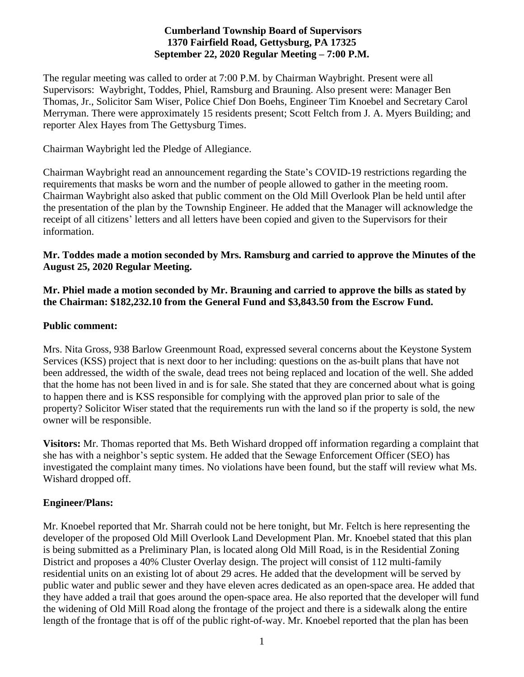### **Cumberland Township Board of Supervisors 1370 Fairfield Road, Gettysburg, PA 17325 September 22, 2020 Regular Meeting – 7:00 P.M.**

The regular meeting was called to order at 7:00 P.M. by Chairman Waybright. Present were all Supervisors: Waybright, Toddes, Phiel, Ramsburg and Brauning. Also present were: Manager Ben Thomas, Jr., Solicitor Sam Wiser, Police Chief Don Boehs, Engineer Tim Knoebel and Secretary Carol Merryman. There were approximately 15 residents present; Scott Feltch from J. A. Myers Building; and reporter Alex Hayes from The Gettysburg Times.

Chairman Waybright led the Pledge of Allegiance.

Chairman Waybright read an announcement regarding the State's COVID-19 restrictions regarding the requirements that masks be worn and the number of people allowed to gather in the meeting room. Chairman Waybright also asked that public comment on the Old Mill Overlook Plan be held until after the presentation of the plan by the Township Engineer. He added that the Manager will acknowledge the receipt of all citizens' letters and all letters have been copied and given to the Supervisors for their information.

#### **Mr. Toddes made a motion seconded by Mrs. Ramsburg and carried to approve the Minutes of the August 25, 2020 Regular Meeting.**

### **Mr. Phiel made a motion seconded by Mr. Brauning and carried to approve the bills as stated by the Chairman: \$182,232.10 from the General Fund and \$3,843.50 from the Escrow Fund.**

#### **Public comment:**

Mrs. Nita Gross, 938 Barlow Greenmount Road, expressed several concerns about the Keystone System Services (KSS) project that is next door to her including: questions on the as-built plans that have not been addressed, the width of the swale, dead trees not being replaced and location of the well. She added that the home has not been lived in and is for sale. She stated that they are concerned about what is going to happen there and is KSS responsible for complying with the approved plan prior to sale of the property? Solicitor Wiser stated that the requirements run with the land so if the property is sold, the new owner will be responsible.

**Visitors:** Mr. Thomas reported that Ms. Beth Wishard dropped off information regarding a complaint that she has with a neighbor's septic system. He added that the Sewage Enforcement Officer (SEO) has investigated the complaint many times. No violations have been found, but the staff will review what Ms. Wishard dropped off.

### **Engineer/Plans:**

Mr. Knoebel reported that Mr. Sharrah could not be here tonight, but Mr. Feltch is here representing the developer of the proposed Old Mill Overlook Land Development Plan. Mr. Knoebel stated that this plan is being submitted as a Preliminary Plan, is located along Old Mill Road, is in the Residential Zoning District and proposes a 40% Cluster Overlay design. The project will consist of 112 multi-family residential units on an existing lot of about 29 acres. He added that the development will be served by public water and public sewer and they have eleven acres dedicated as an open-space area. He added that they have added a trail that goes around the open-space area. He also reported that the developer will fund the widening of Old Mill Road along the frontage of the project and there is a sidewalk along the entire length of the frontage that is off of the public right-of-way. Mr. Knoebel reported that the plan has been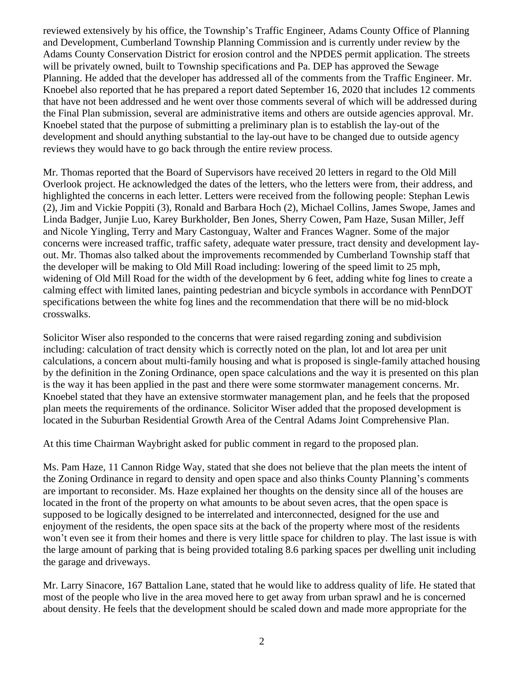reviewed extensively by his office, the Township's Traffic Engineer, Adams County Office of Planning and Development, Cumberland Township Planning Commission and is currently under review by the Adams County Conservation District for erosion control and the NPDES permit application. The streets will be privately owned, built to Township specifications and Pa. DEP has approved the Sewage Planning. He added that the developer has addressed all of the comments from the Traffic Engineer. Mr. Knoebel also reported that he has prepared a report dated September 16, 2020 that includes 12 comments that have not been addressed and he went over those comments several of which will be addressed during the Final Plan submission, several are administrative items and others are outside agencies approval. Mr. Knoebel stated that the purpose of submitting a preliminary plan is to establish the lay-out of the development and should anything substantial to the lay-out have to be changed due to outside agency reviews they would have to go back through the entire review process.

Mr. Thomas reported that the Board of Supervisors have received 20 letters in regard to the Old Mill Overlook project. He acknowledged the dates of the letters, who the letters were from, their address, and highlighted the concerns in each letter. Letters were received from the following people: Stephan Lewis (2), Jim and Vickie Poppiti (3), Ronald and Barbara Hoch (2), Michael Collins, James Swope, James and Linda Badger, Junjie Luo, Karey Burkholder, Ben Jones, Sherry Cowen, Pam Haze, Susan Miller, Jeff and Nicole Yingling, Terry and Mary Castonguay, Walter and Frances Wagner. Some of the major concerns were increased traffic, traffic safety, adequate water pressure, tract density and development layout. Mr. Thomas also talked about the improvements recommended by Cumberland Township staff that the developer will be making to Old Mill Road including: lowering of the speed limit to 25 mph, widening of Old Mill Road for the width of the development by 6 feet, adding white fog lines to create a calming effect with limited lanes, painting pedestrian and bicycle symbols in accordance with PennDOT specifications between the white fog lines and the recommendation that there will be no mid-block crosswalks.

Solicitor Wiser also responded to the concerns that were raised regarding zoning and subdivision including: calculation of tract density which is correctly noted on the plan, lot and lot area per unit calculations, a concern about multi-family housing and what is proposed is single-family attached housing by the definition in the Zoning Ordinance, open space calculations and the way it is presented on this plan is the way it has been applied in the past and there were some stormwater management concerns. Mr. Knoebel stated that they have an extensive stormwater management plan, and he feels that the proposed plan meets the requirements of the ordinance. Solicitor Wiser added that the proposed development is located in the Suburban Residential Growth Area of the Central Adams Joint Comprehensive Plan.

At this time Chairman Waybright asked for public comment in regard to the proposed plan.

Ms. Pam Haze, 11 Cannon Ridge Way, stated that she does not believe that the plan meets the intent of the Zoning Ordinance in regard to density and open space and also thinks County Planning's comments are important to reconsider. Ms. Haze explained her thoughts on the density since all of the houses are located in the front of the property on what amounts to be about seven acres, that the open space is supposed to be logically designed to be interrelated and interconnected, designed for the use and enjoyment of the residents, the open space sits at the back of the property where most of the residents won't even see it from their homes and there is very little space for children to play. The last issue is with the large amount of parking that is being provided totaling 8.6 parking spaces per dwelling unit including the garage and driveways.

Mr. Larry Sinacore, 167 Battalion Lane, stated that he would like to address quality of life. He stated that most of the people who live in the area moved here to get away from urban sprawl and he is concerned about density. He feels that the development should be scaled down and made more appropriate for the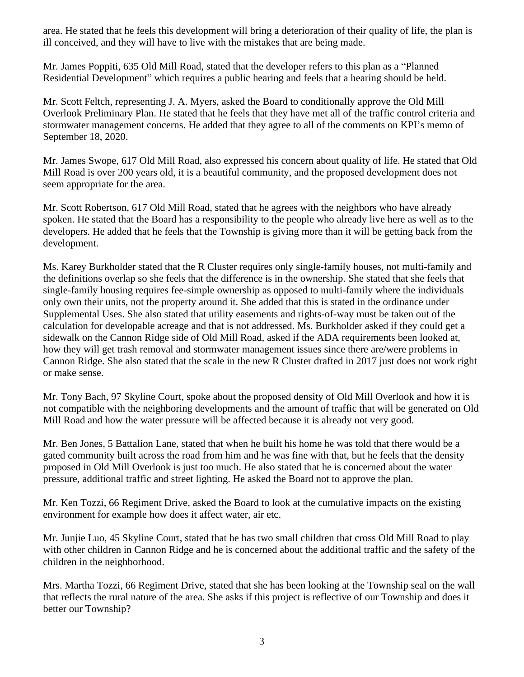area. He stated that he feels this development will bring a deterioration of their quality of life, the plan is ill conceived, and they will have to live with the mistakes that are being made.

Mr. James Poppiti, 635 Old Mill Road, stated that the developer refers to this plan as a "Planned Residential Development" which requires a public hearing and feels that a hearing should be held.

Mr. Scott Feltch, representing J. A. Myers, asked the Board to conditionally approve the Old Mill Overlook Preliminary Plan. He stated that he feels that they have met all of the traffic control criteria and stormwater management concerns. He added that they agree to all of the comments on KPI's memo of September 18, 2020.

Mr. James Swope, 617 Old Mill Road, also expressed his concern about quality of life. He stated that Old Mill Road is over 200 years old, it is a beautiful community, and the proposed development does not seem appropriate for the area.

Mr. Scott Robertson, 617 Old Mill Road, stated that he agrees with the neighbors who have already spoken. He stated that the Board has a responsibility to the people who already live here as well as to the developers. He added that he feels that the Township is giving more than it will be getting back from the development.

Ms. Karey Burkholder stated that the R Cluster requires only single-family houses, not multi-family and the definitions overlap so she feels that the difference is in the ownership. She stated that she feels that single-family housing requires fee-simple ownership as opposed to multi-family where the individuals only own their units, not the property around it. She added that this is stated in the ordinance under Supplemental Uses. She also stated that utility easements and rights-of-way must be taken out of the calculation for developable acreage and that is not addressed. Ms. Burkholder asked if they could get a sidewalk on the Cannon Ridge side of Old Mill Road, asked if the ADA requirements been looked at, how they will get trash removal and stormwater management issues since there are/were problems in Cannon Ridge. She also stated that the scale in the new R Cluster drafted in 2017 just does not work right or make sense.

Mr. Tony Bach, 97 Skyline Court, spoke about the proposed density of Old Mill Overlook and how it is not compatible with the neighboring developments and the amount of traffic that will be generated on Old Mill Road and how the water pressure will be affected because it is already not very good.

Mr. Ben Jones, 5 Battalion Lane, stated that when he built his home he was told that there would be a gated community built across the road from him and he was fine with that, but he feels that the density proposed in Old Mill Overlook is just too much. He also stated that he is concerned about the water pressure, additional traffic and street lighting. He asked the Board not to approve the plan.

Mr. Ken Tozzi, 66 Regiment Drive, asked the Board to look at the cumulative impacts on the existing environment for example how does it affect water, air etc.

Mr. Junjie Luo, 45 Skyline Court, stated that he has two small children that cross Old Mill Road to play with other children in Cannon Ridge and he is concerned about the additional traffic and the safety of the children in the neighborhood.

Mrs. Martha Tozzi, 66 Regiment Drive, stated that she has been looking at the Township seal on the wall that reflects the rural nature of the area. She asks if this project is reflective of our Township and does it better our Township?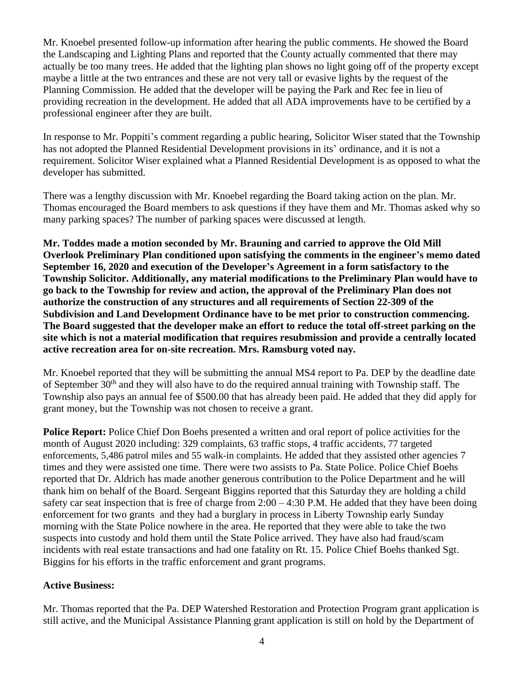Mr. Knoebel presented follow-up information after hearing the public comments. He showed the Board the Landscaping and Lighting Plans and reported that the County actually commented that there may actually be too many trees. He added that the lighting plan shows no light going off of the property except maybe a little at the two entrances and these are not very tall or evasive lights by the request of the Planning Commission. He added that the developer will be paying the Park and Rec fee in lieu of providing recreation in the development. He added that all ADA improvements have to be certified by a professional engineer after they are built.

In response to Mr. Poppiti's comment regarding a public hearing, Solicitor Wiser stated that the Township has not adopted the Planned Residential Development provisions in its' ordinance, and it is not a requirement. Solicitor Wiser explained what a Planned Residential Development is as opposed to what the developer has submitted.

There was a lengthy discussion with Mr. Knoebel regarding the Board taking action on the plan. Mr. Thomas encouraged the Board members to ask questions if they have them and Mr. Thomas asked why so many parking spaces? The number of parking spaces were discussed at length.

**Mr. Toddes made a motion seconded by Mr. Brauning and carried to approve the Old Mill Overlook Preliminary Plan conditioned upon satisfying the comments in the engineer's memo dated September 16, 2020 and execution of the Developer's Agreement in a form satisfactory to the Township Solicitor. Additionally, any material modifications to the Preliminary Plan would have to go back to the Township for review and action, the approval of the Preliminary Plan does not authorize the construction of any structures and all requirements of Section 22-309 of the Subdivision and Land Development Ordinance have to be met prior to construction commencing. The Board suggested that the developer make an effort to reduce the total off-street parking on the site which is not a material modification that requires resubmission and provide a centrally located active recreation area for on-site recreation. Mrs. Ramsburg voted nay.** 

Mr. Knoebel reported that they will be submitting the annual MS4 report to Pa. DEP by the deadline date of September 30<sup>th</sup> and they will also have to do the required annual training with Township staff. The Township also pays an annual fee of \$500.00 that has already been paid. He added that they did apply for grant money, but the Township was not chosen to receive a grant.

**Police Report:** Police Chief Don Boehs presented a written and oral report of police activities for the month of August 2020 including: 329 complaints, 63 traffic stops, 4 traffic accidents, 77 targeted enforcements, 5,486 patrol miles and 55 walk-in complaints. He added that they assisted other agencies 7 times and they were assisted one time. There were two assists to Pa. State Police. Police Chief Boehs reported that Dr. Aldrich has made another generous contribution to the Police Department and he will thank him on behalf of the Board. Sergeant Biggins reported that this Saturday they are holding a child safety car seat inspection that is free of charge from  $2:00 - 4:30$  P.M. He added that they have been doing enforcement for two grants and they had a burglary in process in Liberty Township early Sunday morning with the State Police nowhere in the area. He reported that they were able to take the two suspects into custody and hold them until the State Police arrived. They have also had fraud/scam incidents with real estate transactions and had one fatality on Rt. 15. Police Chief Boehs thanked Sgt. Biggins for his efforts in the traffic enforcement and grant programs.

### **Active Business:**

Mr. Thomas reported that the Pa. DEP Watershed Restoration and Protection Program grant application is still active, and the Municipal Assistance Planning grant application is still on hold by the Department of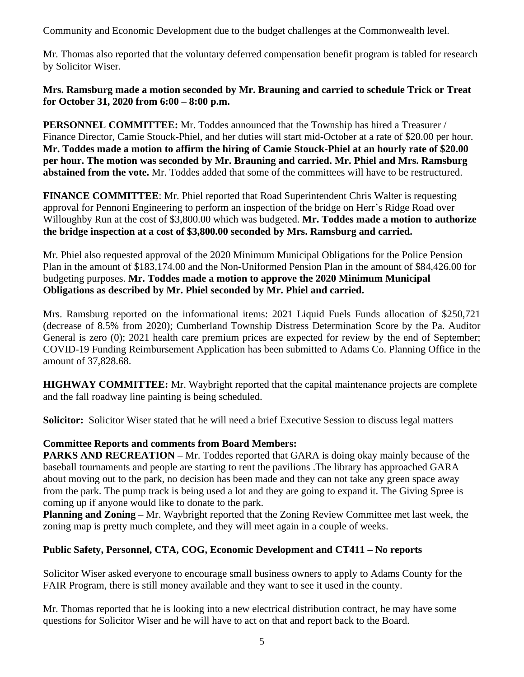Community and Economic Development due to the budget challenges at the Commonwealth level.

Mr. Thomas also reported that the voluntary deferred compensation benefit program is tabled for research by Solicitor Wiser.

### **Mrs. Ramsburg made a motion seconded by Mr. Brauning and carried to schedule Trick or Treat for October 31, 2020 from 6:00 – 8:00 p.m.**

**PERSONNEL COMMITTEE:** Mr. Toddes announced that the Township has hired a Treasurer / Finance Director, Camie Stouck-Phiel, and her duties will start mid-October at a rate of \$20.00 per hour. **Mr. Toddes made a motion to affirm the hiring of Camie Stouck-Phiel at an hourly rate of \$20.00 per hour. The motion was seconded by Mr. Brauning and carried. Mr. Phiel and Mrs. Ramsburg abstained from the vote.** Mr. Toddes added that some of the committees will have to be restructured.

**FINANCE COMMITTEE**: Mr. Phiel reported that Road Superintendent Chris Walter is requesting approval for Pennoni Engineering to perform an inspection of the bridge on Herr's Ridge Road over Willoughby Run at the cost of \$3,800.00 which was budgeted. **Mr. Toddes made a motion to authorize the bridge inspection at a cost of \$3,800.00 seconded by Mrs. Ramsburg and carried.**

Mr. Phiel also requested approval of the 2020 Minimum Municipal Obligations for the Police Pension Plan in the amount of \$183,174.00 and the Non-Uniformed Pension Plan in the amount of \$84,426.00 for budgeting purposes. **Mr. Toddes made a motion to approve the 2020 Minimum Municipal Obligations as described by Mr. Phiel seconded by Mr. Phiel and carried.** 

Mrs. Ramsburg reported on the informational items: 2021 Liquid Fuels Funds allocation of \$250,721 (decrease of 8.5% from 2020); Cumberland Township Distress Determination Score by the Pa. Auditor General is zero (0); 2021 health care premium prices are expected for review by the end of September; COVID-19 Funding Reimbursement Application has been submitted to Adams Co. Planning Office in the amount of 37,828.68.

**HIGHWAY COMMITTEE:** Mr. Waybright reported that the capital maintenance projects are complete and the fall roadway line painting is being scheduled.

**Solicitor:** Solicitor Wiser stated that he will need a brief Executive Session to discuss legal matters

# **Committee Reports and comments from Board Members:**

**PARKS AND RECREATION –** Mr. Toddes reported that GARA is doing okay mainly because of the baseball tournaments and people are starting to rent the pavilions .The library has approached GARA about moving out to the park, no decision has been made and they can not take any green space away from the park. The pump track is being used a lot and they are going to expand it. The Giving Spree is coming up if anyone would like to donate to the park.

**Planning and Zoning –** Mr. Waybright reported that the Zoning Review Committee met last week, the zoning map is pretty much complete, and they will meet again in a couple of weeks.

# **Public Safety, Personnel, CTA, COG, Economic Development and CT411 – No reports**

Solicitor Wiser asked everyone to encourage small business owners to apply to Adams County for the FAIR Program, there is still money available and they want to see it used in the county.

Mr. Thomas reported that he is looking into a new electrical distribution contract, he may have some questions for Solicitor Wiser and he will have to act on that and report back to the Board.